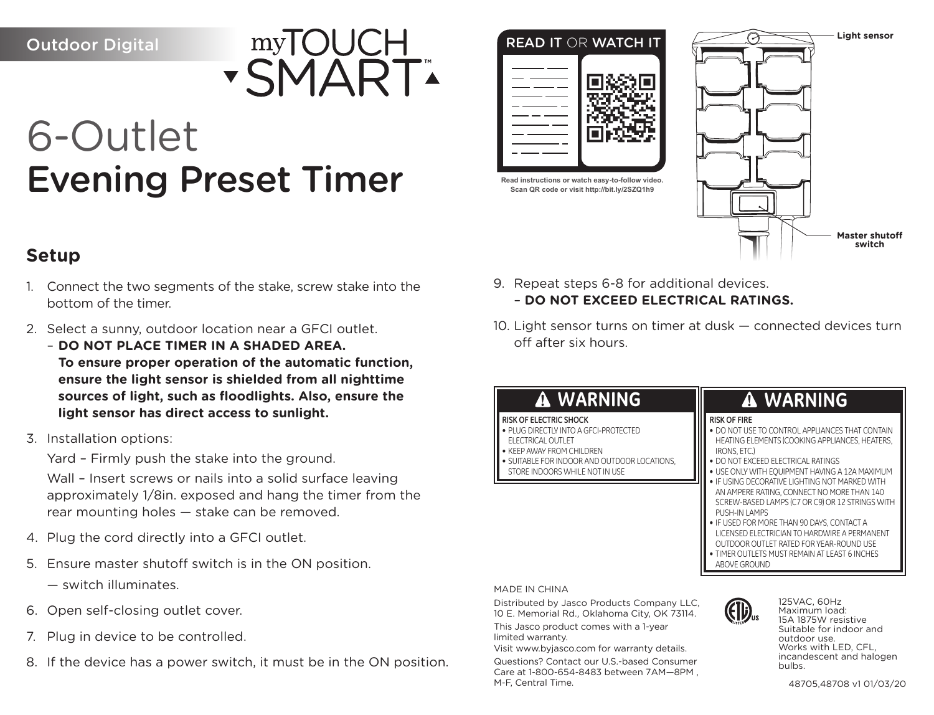Outdoor Digital



## 6-Outlet Evening Preset Timer

# READ IT OR WATCH IT **Read instructions or watch easy-to-follow video. Scan QR code or visit http://bit.ly/2SZQ1h9**



- 1. Connect the two segments of the stake, screw stake into the bottom of the timer.
- 2. Select a sunny, outdoor location near a GFCI outlet.

– **DO NOT PLACE TIMER IN A SHADED AREA. To ensure proper operation of the automatic function, ensure the light sensor is shielded from all nighttime sources of light, such as floodlights. Also, ensure the light sensor has direct access to sunlight.**

3. Installation options:

Yard – Firmly push the stake into the ground.

Wall – Insert screws or nails into a solid surface leaving approximately 1/8in. exposed and hang the timer from the rear mounting holes — stake can be removed.

- 4. Plug the cord directly into a GFCI outlet.
- 5. Ensure master shutoff switch is in the ON position.
	- switch illuminates.
- 6. Open self-closing outlet cover.
- 7. Plug in device to be controlled.
- 8. If the device has a power switch, it must be in the ON position.
- 9. Repeat steps 6-8 for additional devices. – **DO NOT EXCEED ELECTRICAL RATINGS.**
- 10. Light sensor turns on timer at dusk connected devices turn off after six hours.

## **WARNING RISK OF ELECTRIC SHOCK** • PLUG DIRECTLY INTO A GFCI-PROTECTED **ELECTRICAL OUTLET**

- KEEP AWAY FROM CHILDREN
- SUITABLE FOR INDOOR AND OUTDOOR LOCATIONS, STORE INDOORS WHILE NOT IN USE

## **WARNING**

**Master shutoff switch**

**Light sensor**

### **RISK OF FIRE**

- DO NOT USE TO CONTROL APPLIANCES THAT CONTAIN HEATING ELEMENTS (COOKING APPLIANCES, HEATERS, IRONS, ETC.)
- DO NOT EXCEED ELECTRICAL RATINGS
- USE ONLY WITH EQUIPMENT HAVING A 12A MAXIMUM
- IF USING DECORATIVE LIGHTING NOT MARKED WITH AN AMPERE RATING, CONNECT NO MORE THAN 140 SCREW-BASED LAMPS (C7 OR C9) OR 12 STRINGS WITH PUSH-IN LAMPS
- IF USED FOR MORE THAN 90 DAYS, CONTACT A LICENSED ELECTRICIAN TO HARDWIRE A PERMANENT
- OUTDOOR OUTLET RATED FOR YEAR-ROUND USE
- TIMER OUTLETS MUST REMAIN AT LEAST 6 INCHES ABOVE GROUND

MADE IN CHINA

Distributed by Jasco Products Company LLC, 10 E. Memorial Rd., Oklahoma City, OK 73114. This Jasco product comes with a 1-year limited warranty.

Visit www.byjasco.com for warranty details.

Questions? Contact our U.S.-based Consumer Care at 1-800-654-8483 between 7AM—8PM , M-F, Central Time.



125VAC, 60Hz Maximum load: 15A 1875W resistive Suitable for indoor and outdoor use. Works with LED, CFL, incandescent and halogen bulbs.